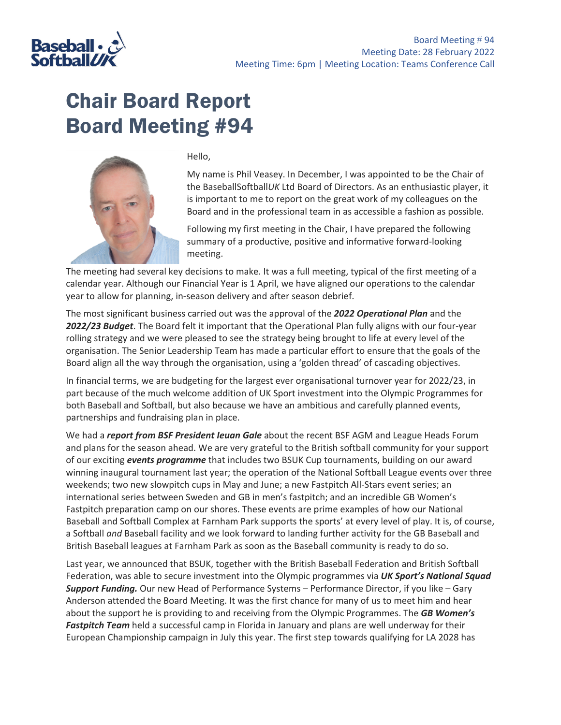

## Chair Board Report Board Meeting #94



Hello,

My name is Phil Veasey. In December, I was appointed to be the Chair of the BaseballSoftball*UK* Ltd Board of Directors. As an enthusiastic player, it is important to me to report on the great work of my colleagues on the Board and in the professional team in as accessible a fashion as possible.

Following my first meeting in the Chair, I have prepared the following summary of a productive, positive and informative forward-looking meeting.

The meeting had several key decisions to make. It was a full meeting, typical of the first meeting of a calendar year. Although our Financial Year is 1 April, we have aligned our operations to the calendar year to allow for planning, in-season delivery and after season debrief.

The most significant business carried out was the approval of the *2022 Operational Plan* and the *2022/23 Budget*. The Board felt it important that the Operational Plan fully aligns with our four-year rolling strategy and we were pleased to see the strategy being brought to life at every level of the organisation. The Senior Leadership Team has made a particular effort to ensure that the goals of the Board align all the way through the organisation, using a 'golden thread' of cascading objectives.

In financial terms, we are budgeting for the largest ever organisational turnover year for 2022/23, in part because of the much welcome addition of UK Sport investment into the Olympic Programmes for both Baseball and Softball, but also because we have an ambitious and carefully planned events, partnerships and fundraising plan in place.

We had a *report from BSF President Ieuan Gale* about the recent BSF AGM and League Heads Forum and plans for the season ahead. We are very grateful to the British softball community for your support of our exciting *events programme* that includes two BSUK Cup tournaments, building on our award winning inaugural tournament last year; the operation of the National Softball League events over three weekends; two new slowpitch cups in May and June; a new Fastpitch All-Stars event series; an international series between Sweden and GB in men's fastpitch; and an incredible GB Women's Fastpitch preparation camp on our shores. These events are prime examples of how our National Baseball and Softball Complex at Farnham Park supports the sports' at every level of play. It is, of course, a Softball *and* Baseball facility and we look forward to landing further activity for the GB Baseball and British Baseball leagues at Farnham Park as soon as the Baseball community is ready to do so.

Last year, we announced that BSUK, together with the British Baseball Federation and British Softball Federation, was able to secure investment into the Olympic programmes via *UK Sport's National Squad Support Funding.* Our new Head of Performance Systems – Performance Director, if you like – Gary Anderson attended the Board Meeting. It was the first chance for many of us to meet him and hear about the support he is providing to and receiving from the Olympic Programmes. The *GB Women's Fastpitch Team* held a successful camp in Florida in January and plans are well underway for their European Championship campaign in July this year. The first step towards qualifying for LA 2028 has